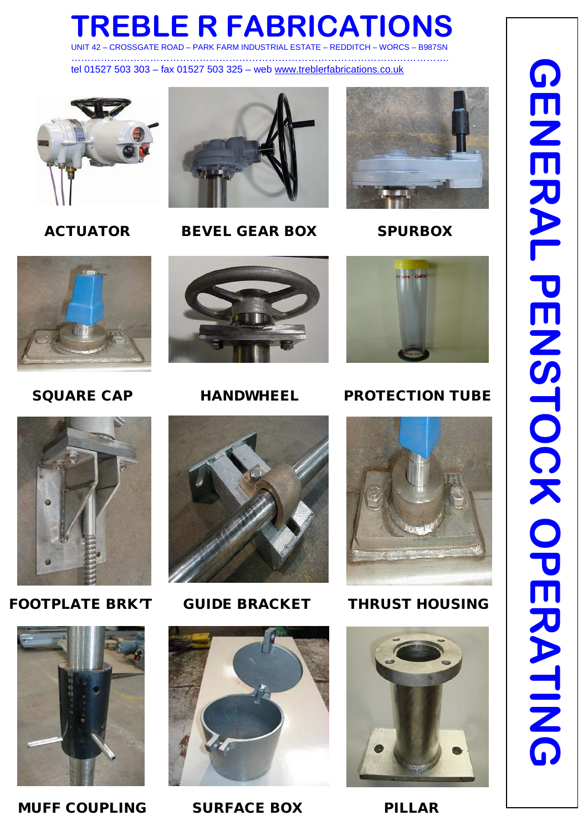# **TREBLE R FABRICATIONS**

UNIT 42 – CROSSGATE ROAD – PARK FARM INDUSTRIAL ESTATE – REDDITCH – WORCS – B987SN …………………………………………………………………………………………………….

tel 01527 503 303 – fax 01527 503 325 – web [www.treblerfabrications.co.uk](http://www.treblerfabrications.co.uk/)





ACTUATOR BEVEL GEAR BOX SPURBOX















FOOTPLATE BRK'T GUIDE BRACKET THRUST HOUSING



**GENERAL PENSTOCK OPERATING GENERAL PENSTOCK OPERATING** 

MUFF COUPLING SURFACE BOX PILLAR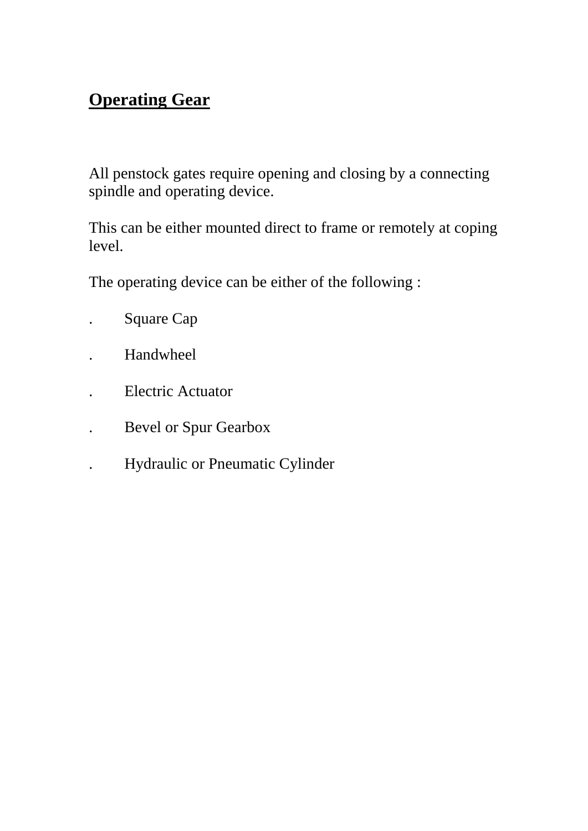# **Operating Gear**

All penstock gates require opening and closing by a connecting spindle and operating device.

This can be either mounted direct to frame or remotely at coping level.

The operating device can be either of the following :

- . Square Cap
- . Handwheel
- . Electric Actuator
- . Bevel or Spur Gearbox
	- . Hydraulic or Pneumatic Cylinder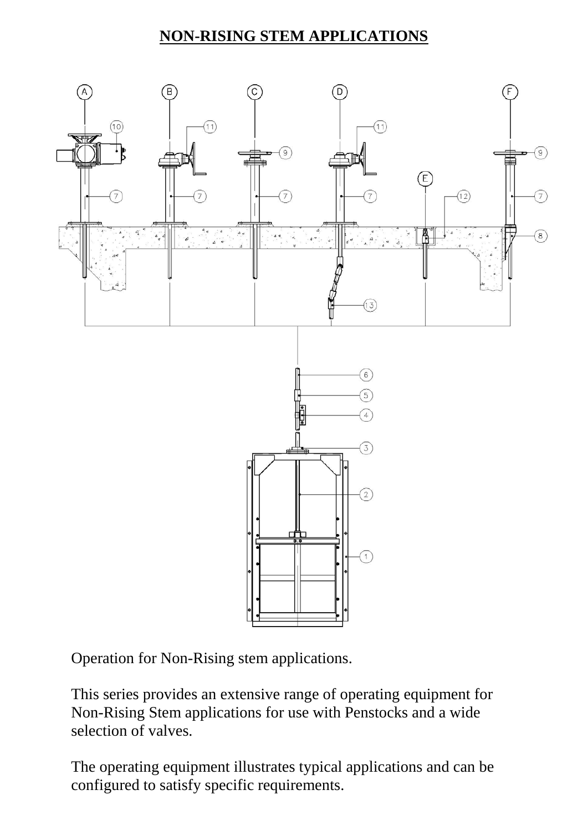# **NON-RISING STEM APPLICATIONS**



Operation for Non-Rising stem applications.

This series provides an extensive range of operating equipment for Non-Rising Stem applications for use with Penstocks and a wide selection of valves.

The operating equipment illustrates typical applications and can be configured to satisfy specific requirements.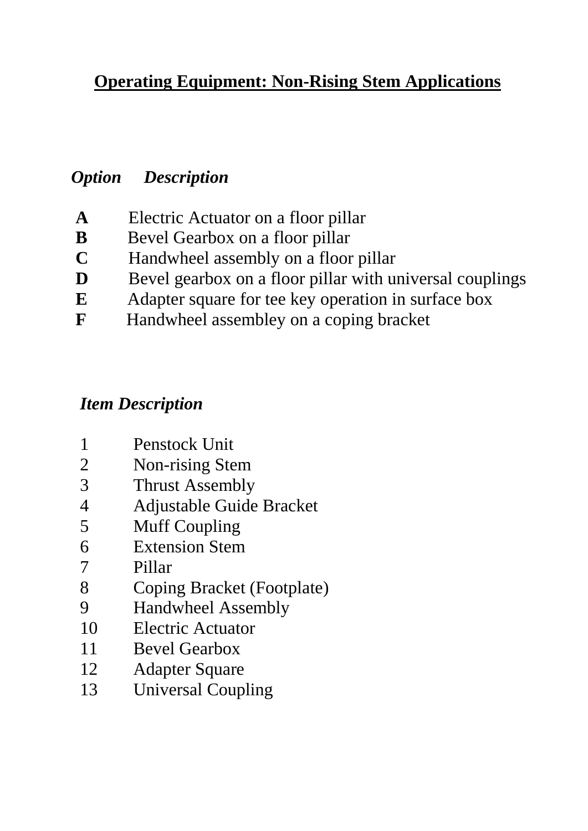# **Operating Equipment: Non-Rising Stem Applications**

# *Option Description*

- **A** Electric Actuator on a floor pillar
- **B** Bevel Gearbox on a floor pillar
- **C** Handwheel assembly on a floor pillar
- **D** Bevel gearbox on a floor pillar with universal couplings
- **E** Adapter square for tee key operation in surface box
- **F** Handwheel assembley on a coping bracket

# *Item Description*

- 1 Penstock Unit
- 2 Non-rising Stem
- 3 Thrust Assembly
- 4 Adjustable Guide Bracket
- 5 Muff Coupling
- 6 Extension Stem
- 7 Pillar
- 8 Coping Bracket (Footplate)
- 9 Handwheel Assembly
- 10 Electric Actuator
- 11 Bevel Gearbox
- 12 Adapter Square
- 13 Universal Coupling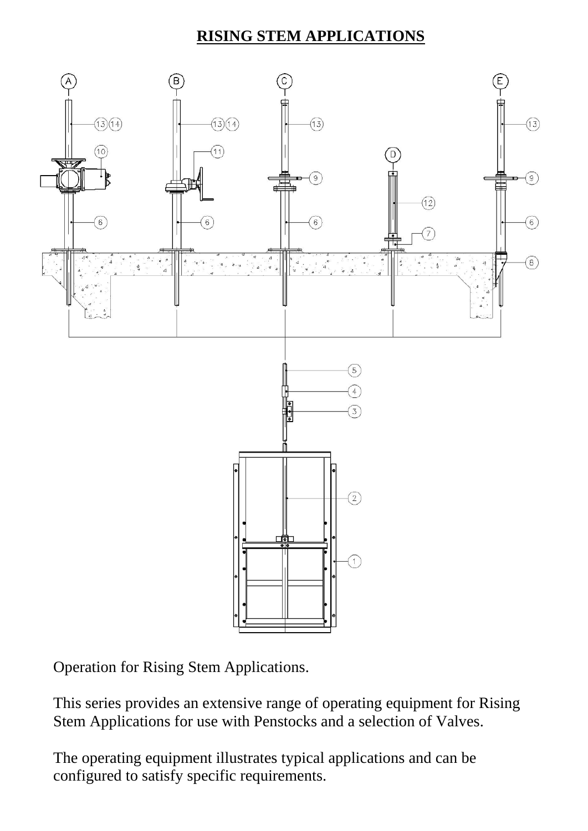# **RISING STEM APPLICATIONS**



Operation for Rising Stem Applications.

This series provides an extensive range of operating equipment for Rising Stem Applications for use with Penstocks and a selection of Valves.

The operating equipment illustrates typical applications and can be configured to satisfy specific requirements.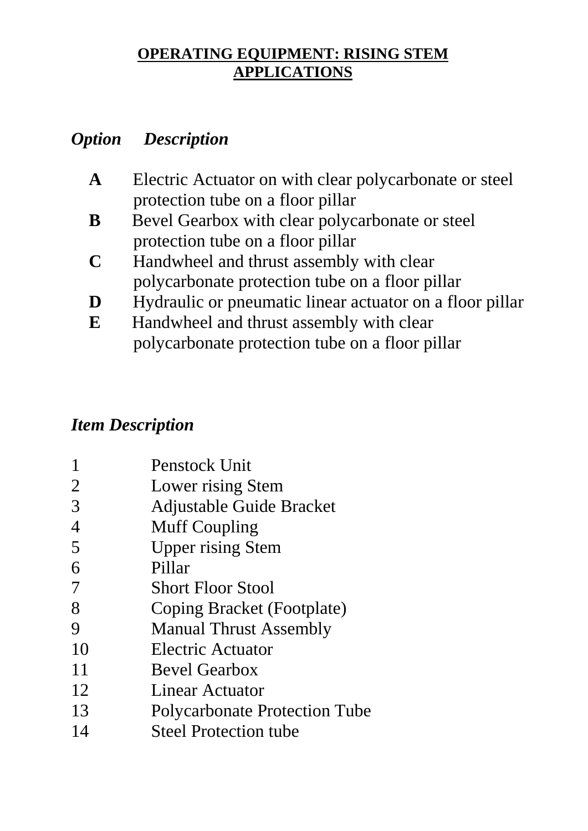# **OPERATING EQUIPMENT: RISING STEM APPLICATIONS**

# *Option Description*

- **A** Electric Actuator on with clear polycarbonate or steel protection tube on a floor pillar
- **B** Bevel Gearbox with clear polycarbonate or steel protection tube on a floor pillar
- **C** Handwheel and thrust assembly with clear polycarbonate protection tube on a floor pillar
- **D Hydraulic or pneumatic linear actuator on a floor pillar**
- **E** Handwheel and thrust assembly with clear polycarbonate protection tube on a floor pillar

# *Item Description*

|                | Penstock Unit                        |
|----------------|--------------------------------------|
| 2              | Lower rising Stem                    |
| 3              | Adjustable Guide Bracket             |
| $\overline{4}$ | <b>Muff Coupling</b>                 |
| 5              | <b>Upper rising Stem</b>             |
| 6              | Pillar                               |
| 7              | <b>Short Floor Stool</b>             |
| 8              | Coping Bracket (Footplate)           |
| 9              | <b>Manual Thrust Assembly</b>        |
| 10             | <b>Electric Actuator</b>             |
| 11             | <b>Bevel Gearbox</b>                 |
| 12             | Linear Actuator                      |
| 13             | <b>Polycarbonate Protection Tube</b> |
| 14             | <b>Steel Protection tube</b>         |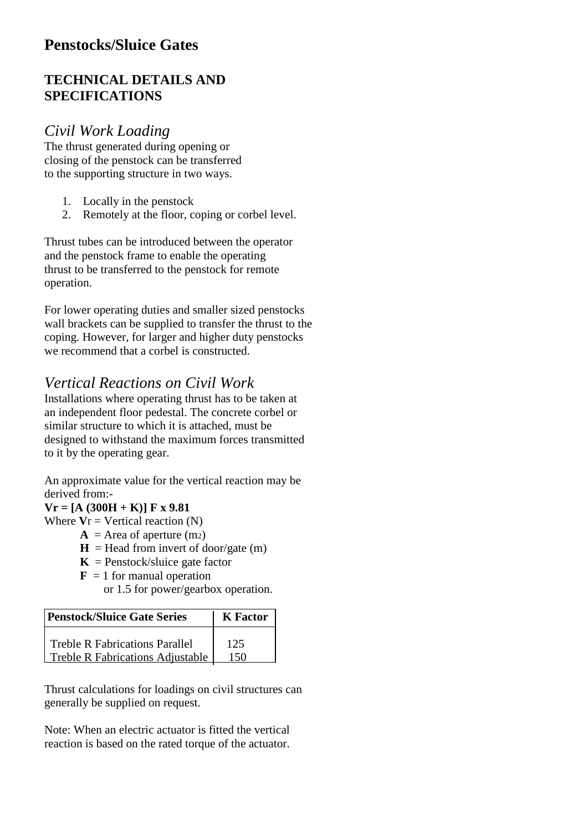### **Penstocks/Sluice Gates**

#### **TECHNICAL DETAILS AND SPECIFICATIONS**

#### *Civil Work Loading*

The thrust generated during opening or closing of the penstock can be transferred to the supporting structure in two ways.

- 1. Locally in the penstock
- 2. Remotely at the floor, coping or corbel level.

Thrust tubes can be introduced between the operator and the penstock frame to enable the operating thrust to be transferred to the penstock for remote operation.

For lower operating duties and smaller sized penstocks wall brackets can be supplied to transfer the thrust to the coping. However, for larger and higher duty penstocks we recommend that a corbel is constructed.

#### *Vertical Reactions on Civil Work*

Installations where operating thrust has to be taken at an independent floor pedestal. The concrete corbel or similar structure to which it is attached, must be designed to withstand the maximum forces transmitted to it by the operating gear.

An approximate value for the vertical reaction may be derived from:-

#### $Vr = [A (300H + K)] F x 9.81$

Where  $Vr = V$ ertical reaction  $(N)$ 

- $A = Area of aperture (m<sub>2</sub>)$
- $H =$  Head from invert of door/gate (m)
- $K =$  Penstock/sluice gate factor
- **for manual operation**

or 1.5 for power/gearbox operation.

| Penstock/Sluice Gate Series             | <b>K</b> Factor |
|-----------------------------------------|-----------------|
| <b>Treble R Fabrications Parallel</b>   | 125             |
| <b>Treble R Fabrications Adjustable</b> | 150             |

Thrust calculations for loadings on civil structures can generally be supplied on request.

Note: When an electric actuator is fitted the vertical reaction is based on the rated torque of the actuator.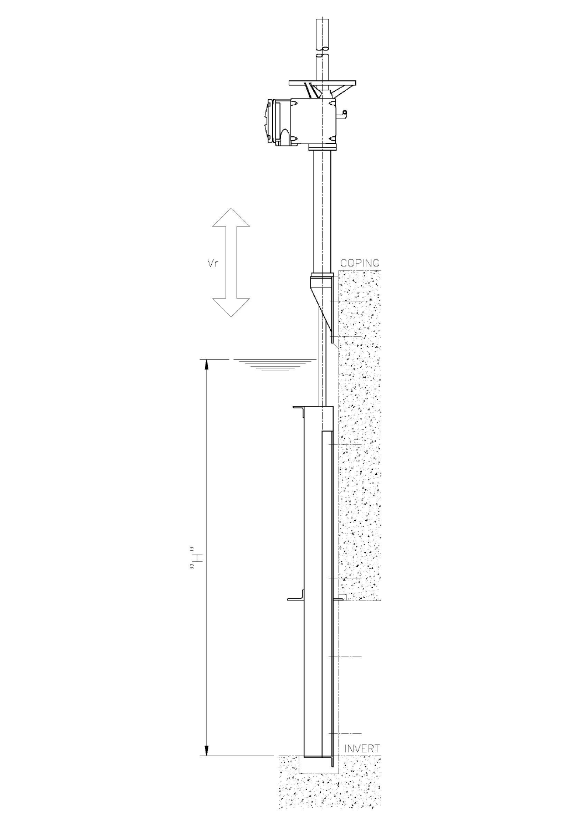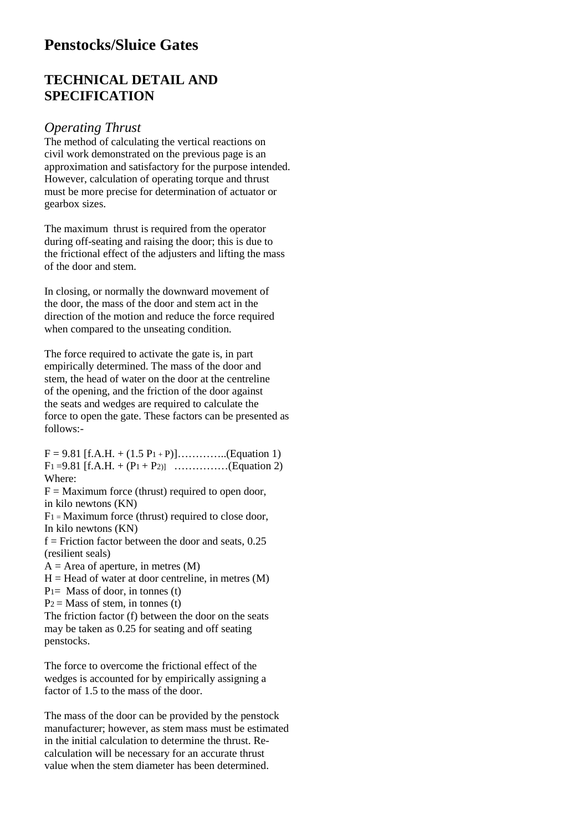#### **Penstocks/Sluice Gates**

#### **TECHNICAL DETAIL AND SPECIFICATION**

#### *Operating Thrust*

The method of calculating the vertical reactions on civil work demonstrated on the previous page is an approximation and satisfactory for the purpose intended. However, calculation of operating torque and thrust must be more precise for determination of actuator or gearbox sizes.

The maximum thrust is required from the operator during off-seating and raising the door; this is due to the frictional effect of the adjusters and lifting the mass of the door and stem.

In closing, or normally the downward movement of the door, the mass of the door and stem act in the direction of the motion and reduce the force required when compared to the unseating condition.

The force required to activate the gate is, in part empirically determined. The mass of the door and stem, the head of water on the door at the centreline of the opening, and the friction of the door against the seats and wedges are required to calculate the force to open the gate. These factors can be presented as follows:-

 $F = 9.81$  [f.A.H. + (1.5 P<sub>1</sub> + P)]…………..(Equation 1)  $F_1 = 9.81$  [f.A.H. +  $(P_1 + P_2)$ ] ……………(Equation 2) Where:

 $F =$  Maximum force (thrust) required to open door, in kilo newtons (KN)

 $F_1$  = Maximum force (thrust) required to close door, In kilo newtons (KN)

 $f =$  Friction factor between the door and seats, 0.25 (resilient seals)

 $A =$  Area of aperture, in metres  $(M)$ 

 $H =$  Head of water at door centreline, in metres  $(M)$ 

 $P_1$ = Mass of door, in tonnes (t)

 $P_2$  = Mass of stem, in tonnes (t)

The friction factor (f) between the door on the seats may be taken as 0.25 for seating and off seating penstocks.

The force to overcome the frictional effect of the wedges is accounted for by empirically assigning a factor of 1.5 to the mass of the door.

The mass of the door can be provided by the penstock manufacturer; however, as stem mass must be estimated in the initial calculation to determine the thrust. Recalculation will be necessary for an accurate thrust value when the stem diameter has been determined.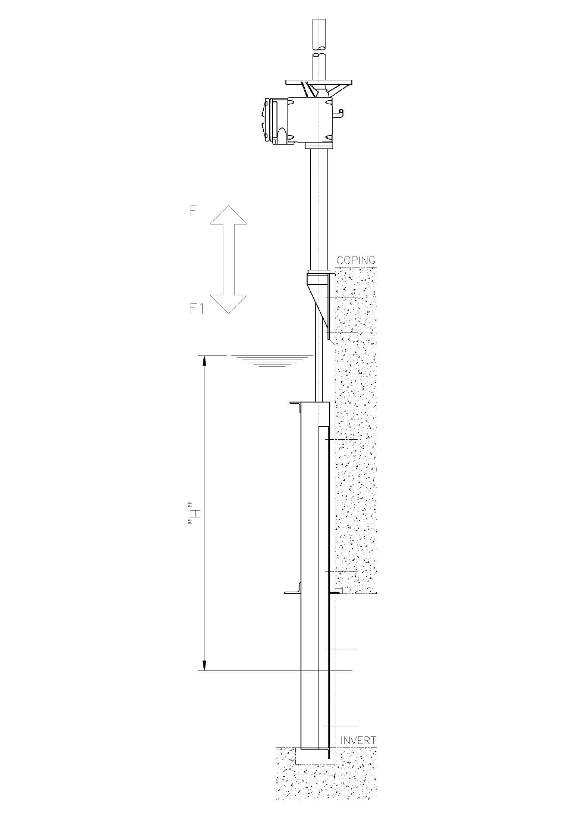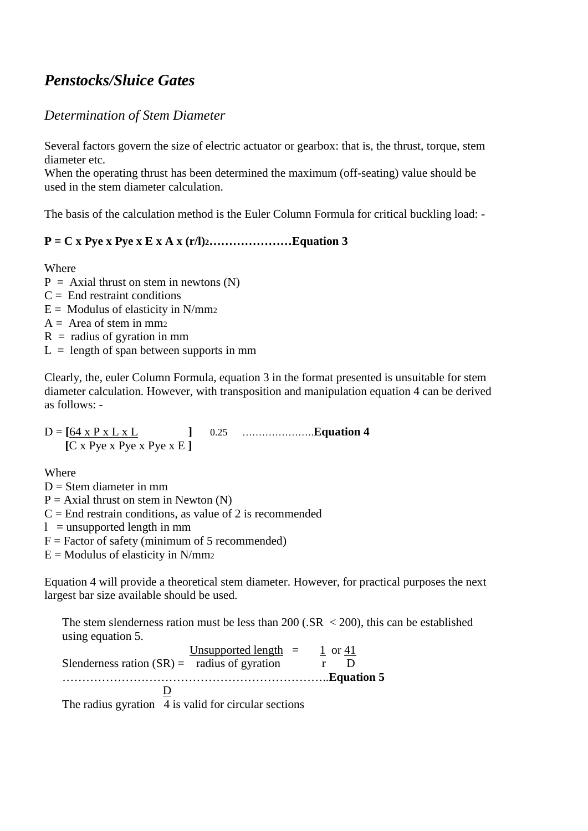### *Penstocks/Sluice Gates*

#### *Determination of Stem Diameter*

Several factors govern the size of electric actuator or gearbox: that is, the thrust, torque, stem diameter etc.

When the operating thrust has been determined the maximum (off-seating) value should be used in the stem diameter calculation.

The basis of the calculation method is the Euler Column Formula for critical buckling load: -

#### **P = C x Pye x Pye x E x A x (r/l)2…………………Equation 3**

Where

- $P = Axial thrust on stem in newtons (N)$
- $C =$  End restraint conditions
- $E =$  Modulus of elasticity in N/mm<sub>2</sub>
- $A = Area of stem in mm<sub>2</sub>$
- $R =$  radius of gyration in mm
- $L =$  length of span between supports in mm

Clearly, the, euler Column Formula, equation 3 in the format presented is unsuitable for stem diameter calculation. However, with transposition and manipulation equation 4 can be derived as follows: -

 $D = \begin{bmatrix} 64 \times P \times L \times L \end{bmatrix}$  **[**C x Pye x Pye x Pye x E **] ]** 0.25 ………………….**Equation 4**

Where

 $D =$ Stem diameter in mm

 $P = Axial$  thrust on stem in Newton (N)

 $C =$  End restrain conditions, as value of 2 is recommended

 $l =$  unsupported length in mm

 $F = Factor$  of safety (minimum of 5 recommended)

 $E =$  Modulus of elasticity in N/mm2

Equation 4 will provide a theoretical stem diameter. However, for practical purposes the next largest bar size available should be used.

The stem slenderness ration must be less than  $200$  (.SR  $\lt$  200), this can be established using equation 5.

Unsupported length  $=$ Slenderness ration  $(SR)$  = radius of gyration r D 1 or 41 …………………………………………………………..**Equation 5** D

The radius gyration 4 is valid for circular sections